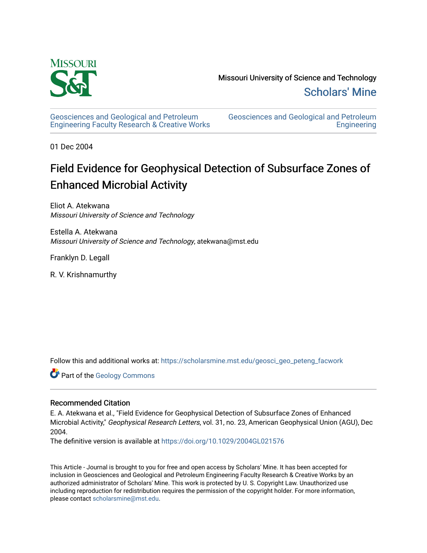

[Geosciences and Geological and Petroleum](https://scholarsmine.mst.edu/geosci_geo_peteng_facwork) [Engineering Faculty Research & Creative Works](https://scholarsmine.mst.edu/geosci_geo_peteng_facwork) [Geosciences and Geological and Petroleum](https://scholarsmine.mst.edu/geosci_geo_peteng)  **Engineering** 

01 Dec 2004

# Field Evidence for Geophysical Detection of Subsurface Zones of Enhanced Microbial Activity

Eliot A. Atekwana Missouri University of Science and Technology

Estella A. Atekwana Missouri University of Science and Technology, atekwana@mst.edu

Franklyn D. Legall

R. V. Krishnamurthy

Follow this and additional works at: [https://scholarsmine.mst.edu/geosci\\_geo\\_peteng\\_facwork](https://scholarsmine.mst.edu/geosci_geo_peteng_facwork?utm_source=scholarsmine.mst.edu%2Fgeosci_geo_peteng_facwork%2F86&utm_medium=PDF&utm_campaign=PDFCoverPages)

Part of the [Geology Commons](http://network.bepress.com/hgg/discipline/156?utm_source=scholarsmine.mst.edu%2Fgeosci_geo_peteng_facwork%2F86&utm_medium=PDF&utm_campaign=PDFCoverPages)

## Recommended Citation

E. A. Atekwana et al., "Field Evidence for Geophysical Detection of Subsurface Zones of Enhanced Microbial Activity," Geophysical Research Letters, vol. 31, no. 23, American Geophysical Union (AGU), Dec 2004.

The definitive version is available at <https://doi.org/10.1029/2004GL021576>

This Article - Journal is brought to you for free and open access by Scholars' Mine. It has been accepted for inclusion in Geosciences and Geological and Petroleum Engineering Faculty Research & Creative Works by an authorized administrator of Scholars' Mine. This work is protected by U. S. Copyright Law. Unauthorized use including reproduction for redistribution requires the permission of the copyright holder. For more information, please contact [scholarsmine@mst.edu.](mailto:scholarsmine@mst.edu)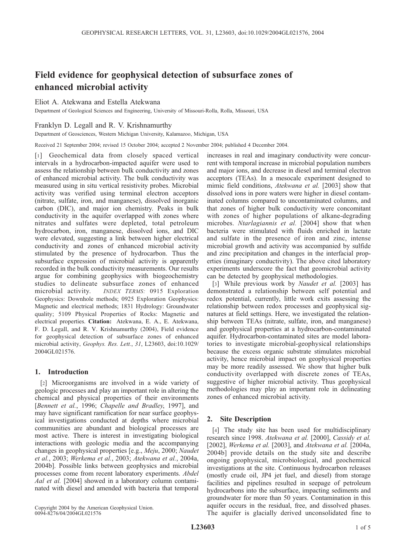## Field evidence for geophysical detection of subsurface zones of enhanced microbial activity

## Eliot A. Atekwana and Estella Atekwana

Department of Geological Sciences and Engineering, University of Missouri-Rolla, Rolla, Missouri, USA

## Franklyn D. Legall and R. V. Krishnamurthy

Department of Geosciences, Western Michigan University, Kalamazoo, Michigan, USA

Received 21 September 2004; revised 15 October 2004; accepted 2 November 2004; published 4 December 2004.

[1] Geochemical data from closely spaced vertical intervals in a hydrocarbon-impacted aquifer were used to assess the relationship between bulk conductivity and zones of enhanced microbial activity. The bulk conductivity was measured using in situ vertical resistivity probes. Microbial activity was verified using terminal electron acceptors (nitrate, sulfate, iron, and manganese), dissolved inorganic carbon (DIC), and major ion chemistry. Peaks in bulk conductivity in the aquifer overlapped with zones where nitrates and sulfates were depleted, total petroleum hydrocarbon, iron, manganese, dissolved ions, and DIC were elevated, suggesting a link between higher electrical conductivity and zones of enhanced microbial activity stimulated by the presence of hydrocarbon. Thus the subsurface expression of microbial activity is apparently recorded in the bulk conductivity measurements. Our results argue for combining geophysics with biogeochemistry studies to delineate subsurface zones of enhanced microbial activity. **INDEX TERMS:** 0915 Exploration Geophysics: Downhole methods; 0925 Exploration Geophysics: Magnetic and electrical methods; 1831 Hydrology: Groundwater quality; 5109 Physical Properties of Rocks: Magnetic and electrical properties. Citation: Atekwana, E. A., E. Atekwana, F. D. Legall, and R. V. Krishnamurthy (2004), Field evidence for geophysical detection of subsurface zones of enhanced microbial activity, Geophys. Res. Lett., 31, L23603, doi:10.1029/ 2004GL021576.

## 1. Introduction

[2] Microorganisms are involved in a wide variety of geologic processes and play an important role in altering the chemical and physical properties of their environments [Bennett et al., 1996; Chapelle and Bradley, 1997], and may have significant ramification for near surface geophysical investigations conducted at depths where microbial communities are abundant and biological processes are most active. There is interest in investigating biological interactions with geologic media and the accompanying changes in geophysical properties [e.g., Meju, 2000; Naudet et al., 2003; Werkema et al., 2003; Atekwana et al., 2004a, 2004b]. Possible links between geophysics and microbial processes come from recent laboratory experiments. Abdel Aal et al. [2004] showed in a laboratory column contaminated with diesel and amended with bacteria that temporal

Copyright 2004 by the American Geophysical Union. 0094-8276/04/2004GL021576

increases in real and imaginary conductivity were concurrent with temporal increase in microbial population numbers and major ions, and decrease in diesel and terminal electron acceptors (TEAs). In a mesocale experiment designed to mimic field conditions, Atekwana et al. [2003] show that dissolved ions in pore waters were higher in diesel contaminated columns compared to uncontaminated columns, and that zones of higher bulk conductivity were concomitant with zones of higher populations of alkane-degrading microbes. Ntarlagiannis et al. [2004] show that when bacteria were stimulated with fluids enriched in lactate and sulfate in the presence of iron and zinc, intense microbial growth and activity was accompanied by sulfide and zinc precipitation and changes in the interfacial properties (imaginary conductivity). The above cited laboratory experiments underscore the fact that geomicrobial activity can be detected by geophysical methodologies.

[3] While previous work by *Naudet et al.* [2003] has demonstrated a relationship between self potential and redox potential, currently, little work exits assessing the relationship between redox processes and geophysical signatures at field settings. Here, we investigated the relationship between TEAs (nitrate, sulfate, iron, and manganese) and geophysical properties at a hydrocarbon-contaminated aquifer. Hydrocarbon-contaminated sites are model laboratories to investigate microbial-geophysical relationships because the excess organic substrate stimulates microbial activity, hence microbial impact on geophysical properties may be more readily assessed. We show that higher bulk conductivity overlapped with discrete zones of TEAs, suggestive of higher microbial activity. Thus geophysical methodologies may play an important role in delineating zones of enhanced microbial activity.

## 2. Site Description

[4] The study site has been used for multidisciplinary research since 1998. Atekwana et al. [2000], Cassidy et al. [2002], Werkema et al. [2003], and Atekwana et al. [2004a, 2004b] provide details on the study site and describe ongoing geophysical, microbiological, and geochemical investigations at the site. Continuous hydrocarbon releases (mostly crude oil, JP4 jet fuel, and diesel) from storage facilities and pipelines resulted in seepage of petroleum hydrocarbons into the subsurface, impacting sediments and groundwater for more than 50 years. Contamination in this aquifer occurs in the residual, free, and dissolved phases. The aquifer is glacially derived unconsolidated fine to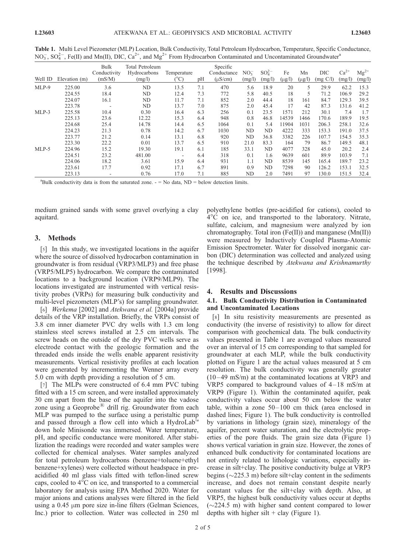| Well ID | Elevation (m) | Bulk<br>Conductivity<br>(mS/M) | <b>Total Petroleum</b><br>Hydrocarbons<br>(mg/l) | Temperature<br>(°C) | pH  | Specific<br>Conductance<br>$(\mu S/cm)$ | $NO3-$<br>(mg/l) | $SO_4^{2-}$<br>(mg/l) | Fe<br>$(\mu g/l)$ | Mn<br>$(\mu g/l)$ | DIC<br>(mg C/l) | $Ca^{2+}$<br>(mg/l) | $Mg^{2+}$<br>(mg/l) |
|---------|---------------|--------------------------------|--------------------------------------------------|---------------------|-----|-----------------------------------------|------------------|-----------------------|-------------------|-------------------|-----------------|---------------------|---------------------|
| MLP-9   | 225.00        | 3.6                            | N <sub>D</sub>                                   | 13.5                | 7.1 | 470                                     | 5.6              | 18.9                  | 20                | 5                 | 29.9            | 62.2                | 15.3                |
|         | 224.55        | 18.4                           | ND                                               | 12.4                | 7.3 | 772                                     | 5.8              | 40.5                  | 18                | 5                 | 71.2            | 106.9               | 29.2                |
|         | 224.07        | 16.1                           | ND                                               | 11.7                | 7.1 | 852                                     | 2.0              | 44.4                  | 18                | 161               | 84.7            | 129.3               | 39.5                |
|         | 223.78        | $\overline{\phantom{a}}$       | ND                                               | 13.7                | 7.0 | 875                                     | 2.0              | 45.4                  | 17                | 42                | 87.3            | 131.6               | 41.2                |
| $MLP-3$ | 225.58        | 10.4                           | 0.30                                             | 16.4                | 6.3 | 256                                     | 0.1              | 23.5                  | 1571              | 212               | 30.1            | 7.4                 | 1.7                 |
|         | 225.13        | 23.6                           | 12.22                                            | 15.3                | 6.4 | 948                                     | 0.8              | 46.8                  | 14539             | 1466              | 170.6           | 189.9               | 19.5                |
|         | 224.68        | 25.4                           | 14.78                                            | 14.4                | 6.5 | 1064                                    | 0.1              | 5.4                   | 11904             | 1031              | 206.3           | 258.1               | 32.6                |
|         | 224.23        | 21.3                           | 0.78                                             | 14.2                | 6.7 | 1030                                    | ND               | ND                    | 4222              | 333               | 153.3           | 191.0               | 37.5                |
|         | 223.77        | 21.2                           | 0.14                                             | 13.1                | 6.8 | 920                                     | ND               | 36.8                  | 3382              | 226               | 107.7           | 154.5               | 35.3                |
|         | 223.30        | 22.2                           | 0.01                                             | 13.7                | 6.5 | 910                                     | 21.0             | 83.3                  | 164               | 79                | 86.7            | 149.5               | 48.1                |
| $MLP-5$ | 224.96        | 15.2                           | 19.30                                            | 19.1                | 6.1 | 185                                     | 33.1             | ND                    | 4077              | 328               | 45.0            | 20.2                | 2.4                 |
|         | 224.51        | 23.2                           | 481.00                                           | $\overline{a}$      | 6.4 | 318                                     | 0.1              | 1.6                   | 9639              | 601               | 89.9            | 103.9               | 7.1                 |
|         | 224.06        | 18.2                           | 3.61                                             | 15.9                | 6.4 | 931                                     | 1.1              | ND                    | 8539              | 145               | 165.4           | 189.7               | 23.2                |
|         | 223.61        | 17.7                           | 0.92                                             | 17.1                | 6.7 | 891                                     | 0.9              | ND                    | 7298              | 90                | 126.2           | 153.1               | 32.5                |
|         | 223.13        |                                | 0.76                                             | 17.0                | 7.1 | 885                                     | ND               | 2.0                   | 7491              | 97                | 130.0           | 151.5               | 32.4                |

Table 1. Multi Level Piezometer (MLP) Location, Bulk Conductivity, Total Petroleum Hydrocarbon, Temperature, Specific Conductance, NO<sub>3</sub>, SO<sub>4</sub><sup>-</sup>, Fe(II) and Mn(II), DIC, Ca<sup>2+</sup>, and Mg<sup>2+</sup> From Hydrocarbon Contaminated and Uncontaminated Groundwater<sup>a</sup>

<sup>a</sup>Bulk conductivity data is from the saturated zone.  $-$  = No data, ND = below detection limits.

medium grained sands with some gravel overlying a clay aquitard.

#### 3. Methods

[5] In this study, we investigated locations in the aquifer where the source of dissolved hydrocarbon contamination in groundwater is from residual (VRP3/MLP3) and free phase (VRP5/MLP5) hydrocarbon. We compare the contaminated locations to a background location (VRP9/MLP9). The locations investigated are instrumented with vertical resistivity probes (VRPs) for measuring bulk conductivity and multi-level piezometers (MLP's) for sampling groundwater.

[6] *Werkema* [2002] and *Atekwana et al.* [2004a] provide details of the VRP installation. Briefly, the VRPs consist of 3.8 cm inner diameter PVC dry wells with 1.3 cm long stainless steel screws installed at 2.5 cm intervals. The screw heads on the outside of the dry PVC wells serve as electrode contact with the geologic formation and the threaded ends inside the wells enable apparent resistivity measurements. Vertical resistivity profiles at each location were generated by incrementing the Wenner array every 5.0 cm with depth providing a resolution of 5 cm.

[7] The MLPs were constructed of 6.4 mm PVC tubing fitted with a 15 cm screen, and were installed approximately 30 cm apart from the base of the aquifer into the vadose zone using a Geoprobe<sup> $\mathcal{B}$ </sup> drill rig. Groundwater from each MLP was pumped to the surface using a peristaltic pump and passed through a flow cell into which a HydroLab<sup>™</sup> down hole Minisonde was immersed. Water temperature, pH, and specific conductance were monitored. After stabilization the readings were recorded and water samples were collected for chemical analyses. Water samples analyzed for total petroleum hydrocarbons (benzene+toluene+ethyl benzene+xylenes) were collected without headspace in preacidified 40 ml glass vials fitted with teflon-lined screw caps, cooled to  $4^{\circ}$ C on ice, and transported to a commercial laboratory for analysis using EPA Method 2020. Water for major anions and cations analyses were filtered in the field using a  $0.45 \mu m$  pore size in-line filters (Gelman Sciences, Inc.) prior to collection. Water was collected in 250 ml

polyethylene bottles (pre-acidified for cations), cooled to  $4^{\circ}$ C on ice, and transported to the laboratory. Nitrate, sulfate, calcium, and magnesium were analyzed by ion chromatography. Total iron (Fe(II)) and manganese (Mn(II)) were measured by Inductively Coupled Plasma-Atomic Emission Spectrometer. Water for dissolved inorganic carbon (DIC) determination was collected and analyzed using the technique described by Atekwana and Krishnamurthy [1998].

#### 4. Results and Discussions

#### 4.1. Bulk Conductivity Distribution in Contaminated and Uncontaminated Locations

[8] In situ resistivity measurements are presented as conductivity (the inverse of resistivity) to allow for direct comparison with geochemical data. The bulk conductivity values presented in Table 1 are averaged values measured over an interval of 15 cm corresponding to that sampled for groundwater at each MLP, while the bulk conductivity plotted on Figure 1 are the actual values measured at 5 cm resolution. The bulk conductivity was generally greater  $(10-49 \text{ mS/m})$  at the contaminated locations at VRP3 and VRP5 compared to background values of  $4-18$  mS/m at VRP9 (Figure 1). Within the contaminated aquifer, peak conductivity values occur about 50 cm below the water table, within a zone  $50-100$  cm thick (area enclosed in dashed lines; Figure 1). The bulk conductivity is controlled by variations in lithology (grain size), mineralogy of the aquifer, percent water saturation, and the electrolytic properties of the pore fluids. The grain size data (Figure 1) shows vertical variation in grain size. However, the zones of enhanced bulk conductivity for contaminated locations are not entirely related to lithologic variations, especially increase in silt+clay. The positive conductivity bulge at VRP3 begins  $(\sim 225.3 \text{ m})$  before silt+clay content in the sediments increase, and does not remain constant despite nearly constant values for the silt+clay with depth. Also, at VRP5, the highest bulk conductivity values occur at depths  $(\sim 224.5 \text{ m})$  with higher sand content compared to lower depths with higher silt  $+$  clay (Figure 1).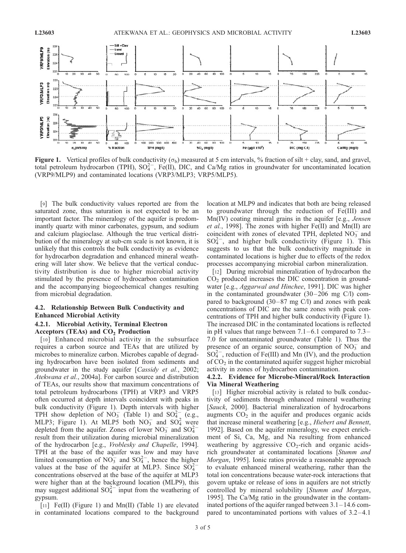

**Figure 1.** Vertical profiles of bulk conductivity ( $\sigma_b$ ) measured at 5 cm intervals, % fraction of silt + clay, sand, and gravel, total petroleum hydrocarbon (TPH),  $SO_4^{2-}$ , Fe(II), DIC, and Ca/Mg ratios in groundwater for uncontaminated location (VRP9/MLP9) and contaminated locations (VRP3/MLP3; VRP5/MLP5).

[9] The bulk conductivity values reported are from the saturated zone, thus saturation is not expected to be an important factor. The mineralogy of the aquifer is predominantly quartz with minor carbonates, gypsum, and sodium and calcium plagioclase. Although the true vertical distribution of the mineralogy at sub-cm scale is not known, it is unlikely that this controls the bulk conductivity as evidence for hydrocarbon degradation and enhanced mineral weathering will later show. We believe that the vertical conductivity distribution is due to higher microbial activity stimulated by the presence of hydrocarbon contamination and the accompanying biogeochemical changes resulting from microbial degradation.

## 4.2. Relationship Between Bulk Conductivity and Enhanced Microbial Activity

#### 4.2.1. Microbial Activity, Terminal Electron Acceptors (TEAs) and  $CO<sub>2</sub>$  Production

[10] Enhanced microbial activity in the subsurface requires a carbon source and TEAs that are utilized by microbes to mineralize carbon. Microbes capable of degrading hydrocarbon have been isolated from sediments and groundwater in the study aquifer [Cassidy et al., 2002; Atekwana et al., 2004a]. For carbon source and distribution of TEAs, our results show that maximum concentrations of total petroleum hydrocarbons (TPH) at VRP3 and VRP5 often occurred at depth intervals coincident with peaks in bulk conductivity (Figure 1). Depth intervals with higher TPH show depletion of  $NO_3^-$  (Table 1) and  $SO_4^{2-}$  (e.g., MLP3; Figure 1). At MLP5 both  $NO_3^-$  and  $SO_4^2$  were depleted from the aquifer. Zones of lower  $NO_3^-$  and  $SO_4^{2-}$ result from their utilization during microbial mineralization of the hydrocarbon [e.g., Vroblesky and Chapelle, 1994]. TPH at the base of the aquifer was low and may have limited consumption of  $NO_3^-$  and  $SO_4^{2-}$ , hence the higher<br>values at the heap of the aquifor at MI P3. Since  $SO_2^{2-}$ values at the base of the aquifer at MLP3. Since  $SO_4^2$ concentrations observed at the base of the aquifer at MLP3 were higher than at the background location (MLP9), this may suggest additional  $SO_4^{2-}$  input from the weathering of gypsum.

[11] Fe(II) (Figure 1) and Mn(II) (Table 1) are elevated in contaminated locations compared to the background location at MLP9 and indicates that both are being released to groundwater through the reduction of Fe(III) and Mn(IV) coating mineral grains in the aquifer [e.g., *Jensen et al.*, 1998]. The zones with higher Fe(II) and Mn(II) are coincident with zones of elevated TPH, depleted  $NO<sub>3</sub><sup>-</sup>$  and  $SO_4^{2-}$ , and higher bulk conductivity (Figure 1). This suggests to us that the bulk conductivity magnitude in contaminated locations is higher due to effects of the redox processes accompanying microbial carbon mineralization.

[12] During microbial mineralization of hydrocarbon the  $CO<sub>2</sub>$  produced increases the DIC concentration in groundwater [e.g., Aggarwal and Hinchee, 1991]. DIC was higher in the contaminated groundwater  $(30-206 \text{ mg C/l})$  compared to background  $(30-87 \text{ mg C/I})$  and zones with peak concentrations of DIC are the same zones with peak concentrations of TPH and higher bulk conductivity (Figure 1). The increased DIC in the contaminated locations is reflected in pH values that range between  $7.1-6.1$  compared to  $7.3-$ 7.0 for uncontaminated groundwater (Table 1). Thus the presence of an organic source, consumption of  $NO_3^-$  and  $SO_4^{2-}$ , reduction of Fe(III) and Mn (IV), and the production of  $CO<sub>2</sub>$  in the contaminated aquifer suggest higher microbial activity in zones of hydrocarbon contamination.

#### 4.2.2. Evidence for Microbe-Mineral/Rock Interaction Via Mineral Weathering

[13] Higher microbial activity is related to bulk conductivity of sediments through enhanced mineral weathering [Sauck, 2000]. Bacterial mineralization of hydrocarbons augments  $CO<sub>2</sub>$  in the aquifer and produces organic acids that increase mineral weathering [e.g., Hiebert and Bennett, 1992]. Based on the aquifer mineralogy, we expect enrichment of Si, Ca, Mg, and Na resulting from enhanced weathering by aggressive  $CO_2$ -rich and organic acidsrich groundwater at contaminated locations [Stumm and Morgan, 1995]. Ionic ratios provide a reasonable approach to evaluate enhanced mineral weathering, rather than the total ion concentrations because water-rock interactions that govern uptake or release of ions in aquifers are not strictly controlled by mineral solubility [Stumm and Morgan, 1995]. The Ca/Mg ratio in the groundwater in the contaminated portions of the aquifer ranged between 3.1– 14.6 compared to uncontaminated portions with values of 3.2 –4.1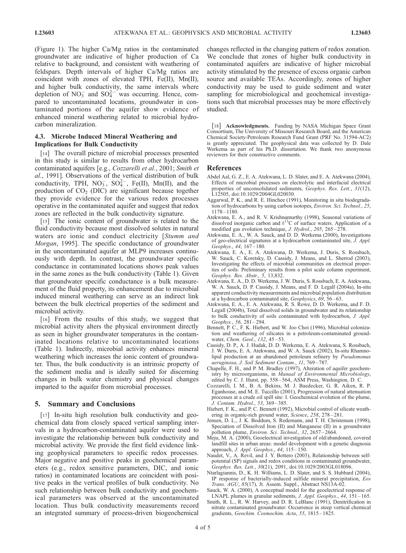(Figure 1). The higher Ca/Mg ratios in the contaminated groundwater are indicative of higher production of Ca relative to background, and consistent with weathering of feldspars. Depth intervals of higher Ca/Mg ratios are coincident with zones of elevated TPH, Fe(II), Mn(II), and higher bulk conductivity, the same intervals where depletion of  $NO_3^-$  and  $SO_4^{2-}$  was occurring. Hence, compared to uncontaminated locations, groundwater in contaminated portions of the aquifer show evidence of enhanced mineral weathering related to microbial hydrocarbon mineralization.

## 4.3. Microbe Induced Mineral Weathering and Implications for Bulk Conductivity

[14] The overall picture of microbial processes presented in this study is similar to results from other hydrocarbon contaminated aquifers [e.g., Cozzarelli et al., 2001; Smith et al., 1991]. Observations of the vertical distribution of bulk conductivity, TPH,  $NO_3^-$ ,  $SO_4^{2-}$ , Fe(II), Mn(II), and the production of  $CO<sub>2</sub>$  (DIC) are significant because together they provide evidence for the various redox processes operative in the contaminated aquifer and suggest that redox zones are reflected in the bulk conductivity signature.

[15] The ionic content of groundwater is related to the fluid conductivity because most dissolved solutes in natural waters are ionic and conduct electricity [Stumm and Morgan, 1995]. The specific conductance of groundwater in the uncontaminated aquifer at MLP9 increases continuously with depth. In contrast, the groundwater specific conductance in contaminated locations shows peak values in the same zones as the bulk conductivity (Table 1). Given that groundwater specific conductance is a bulk measurement of the fluid property, its enhancement due to microbial induced mineral weathering can serve as an indirect link between the bulk electrical properties of the sediment and microbial activity.

[16] From the results of this study, we suggest that microbial activity alters the physical environment directly as seen in higher groundwater temperatures in the contaminated locations relative to uncontaminated locations (Table 1). Indirectly, microbial activity enhances mineral weathering which increases the ionic content of groundwater. Thus, the bulk conductivity is an intrinsic property of the sediment media and is ideally suited for discerning changes in bulk water chemistry and physical changes imparted to the aquifer from microbial processes.

#### 5. Summary and Conclusions

[17] In-situ high resolution bulk conductivity and geochemical data from closely spaced vertical sampling intervals in a hydrocarbon-contaminated aquifer were used to investigate the relationship between bulk conductivity and microbial activity. We provide the first field evidence linking geophysical parameters to specific redox processes. Major negative and positive peaks in geochemical parameters (e.g., redox sensitive parameters, DIC, and ionic ratios) in contaminated locations are coincident with positive peaks in the vertical profiles of bulk conductivity. No such relationship between bulk conductivity and geochemical parameters was observed at the uncontaminated location. Thus bulk conductivity measurements record an integrated summary of process-driven biogeochemical

changes reflected in the changing pattern of redox zonation. We conclude that zones of higher bulk conductivity in contaminated aquifers are indicative of higher microbial activity stimulated by the presence of excess organic carbon source and available TEAs. Accordingly, zones of higher conductivity may be used to guide sediment and water sampling for microbiological and geochemical investigations such that microbial processes may be more effectively studied.

[18] Acknowledgments. Funding by NASA Michigan Space Grant Consortium, The University of Missouri Research Board, and the American Chemical Society-Petroleum Research Fund Grant (PRF No. 31594-AC2) is greatly appreciated. The geophysical data was collected by D. Dale Werkema as part of his Ph.D. dissertation. We thank two anonymous reviewers for their constructive comments.

#### References

- Abdel Aal, G. Z., E. A. Atekwana, L. D. Slater, and E. A. Atekwana (2004), Effects of microbial processes on electrolytic and interfacial electrical properties of unconsolidated sediments, Geophys. Res. Lett., 31(12), L12505, doi:10.1029/2004GL020030.
- Aggarwal, P. K., and R. E. Hinchee (1991), Monitoring in situ biodegradation of hydrocarbons by using carbon isotopes, Environ. Sci. Technol., 25, 1178 – 1180.
- Atekwana, E. A., and R. V. Krishnamurthy (1998), Seasonal variations of dissolved inorganic carbon and  $\delta^{13}$ C of surface waters. Application of a modified gas evolution technique, J. Hydrol., 205, 265-278.
- Atekwana, E. A., W. A. Sauck, and D. D. Werkema (2000), Investigations of geo-electrical signatures at a hydrocarbon contaminated site, J. Appl. Geophys., 44, 167–180.
- Atekwana, E. A., E. A. Atekwana, D. Werkema, J. Duris, S. Rossbach, W. Sauck, C. Koretsky, D. Cassidy, J. Means, and L. Sherrod (2003), Investigating the effects of microbial communities on electrical properties of soils: Preliminary results from a pilot scale column experiment, Geophys. Res. Abstr., 5, 13,832.
- Atekwana, E. A., D. D. Werkema, J. W. Duris, S. Rossbach, E. A. Atekwana, W. A. Sauck, D. P. Cassidy, J. Means, and F. D. Legall (2004a), In-situ apparent conductivity measurements and microbial population distribution at a hydrocarbon contaminated site, Geophysics, 69, 56-63.
- Atekwana, E. A., E. A. Atekwana, R. S. Rowe, D. D. Werkema, and F. D. Legall (2004b), Total dissolved solids in groundwater and its relationship to bulk conductivity of soils contaminated with hydrocarbon, J. Appl. Geophys., 56, 281-294.
- Bennett, P. C., F. K. Hiebert, and W. Joo Choi (1996), Microbial colonization and weathering of silicates in a petroleum-contaminated groundwater, *Chem. Geol.*, 132, 45-53.
- Cassidy, D. P., A. J. Hudak, D. D. Werkema, E. A. Atekwana, S. Rossbach, J. W. Duris, E. A. Atekwana, and W. A. Sauck (2002), In-situ Rhamnolipid production at an abandoned petroleum refinery by Pseudomonas aeruginosa, J. Soil Sediment Contam., 11, 769 – 787.
- Chapelle, F. H., and P. M. Bradley (1997), Alteration of aquifer geochemistry by microorganisms, in Manual of Environmental Microbiology, edited by C. J. Hurst, pp. 558 – 564, ASM Press, Washington, D. C.
- Cozzarelli, I. M., B. A. Bekins, M. J. Baedecker, G. R. Aiken, R. P. Eganhouse, and M. E. Tuccillo (2001), Progression of natural attenuation processes at a crude oil spill site: I. Geochemical evolution of the plume, J. Contam. Hydrol., 53, 369 – 385.
- Hiebert, F. K., and P. C. Bennett (1992), Microbial control of silicate weathering in organic-rich ground water, Science, 258, 278 – 281.
- Jensen, D. L., J. K. Boddum, S. Redemann, and T. H. Christensen (1998), Speciation of Dissolved Iron (II) and Manganese (II) in a groundwater pollution plume, Environ. Sci. Technol., 32, 2657-2664.
- Meju, M. A. (2000), Geoelectrical investigation of old/abandoned, covered landfill sites in urban areas: model development with a genetic diagnosis approach, J. Appl. Geophys., 44, 115-150.
- Naudet, V., A. Revil, and J. Y. Bottero (2003), Relationship between selfpotential (SP) signals and redox conditions in contaminated groundwater, Geophys. Res. Lett., 30(21), 2091, doi:10.1029/2003GL018096.
- Ntarlagiannis, D., K. H. Williams, L. D. Slater, and S. S. Hubbard (2004), IP response of bacterially-induced sulfide mineral precipitation, Eos Trans. AGU, 85(17), Jt. Assem. Suppl., Abstract NS13A-02.
- Sauck, W. A. (2000), A conceptual model for the geoelectrical response of LNAPL plumes in granular sediments, J. Appl. Geophys., 44, 151 – 165.
- Smith, R. L., R. W. Harvey, and D. R. LeBlanc (1991), Denitrification in nitrate contaminated groundwater: Occurrence in steep vertical chemical gradients, Geochim. Cosmochim. Acta, 55, 1815 – 1825.